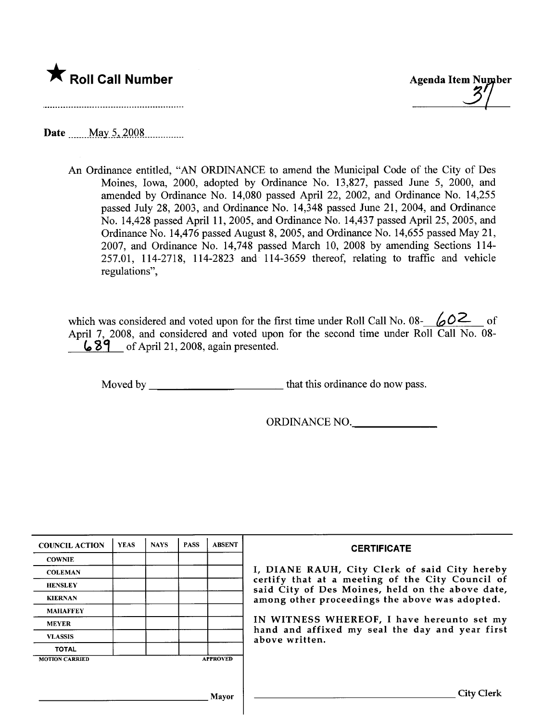

Date \_\_\_\_\_ May 5, 2008

An Ordinance entitled, "AN ORDINANCE to amend the Municipal Code of the City of Des Moines, Iowa, 2000, adopted by Ordinance No. 13,827, passed June 5, 2000, and amended by Ordinance No. 14,080 passed April 22, 2002, and Ordinance No. 14,255 passed July 28, 2003, and Ordinance No. 14,348 passed June 21, 2004, and Ordinance No. 14,428 passed April 11,2005, and Ordinance No. 14,437 passed April 25, 2005, and Ordinance No. 14,476 passed August 8, 2005, and Ordinance No. 14,655 passed May 21, 2007, and Ordinance No. 14,748 passed March 10, 2008 by amending Sections 114- 257.01, 114-2718, 114-2823 and 114-3659 thereof, relating to traffic and vehicle regulations",

which was considered and voted upon for the first time under Roll Call No. 08-  $\sqrt{2}$  of April 7, 2008, and considered and voted upon for the second time under Roll Call No. 08-  $\bigcup$  89 of April 21, 2008, again presented.

Moved by that this ordinance do now pass.

ORDINANCE NO.

| <b>COUNCIL ACTION</b> | <b>YEAS</b> | <b>NAYS</b> | <b>PASS</b> | <b>ABSENT</b>   | <b>CERTIFICATE</b>                                                                                                                                                                                                                                                                                                         |
|-----------------------|-------------|-------------|-------------|-----------------|----------------------------------------------------------------------------------------------------------------------------------------------------------------------------------------------------------------------------------------------------------------------------------------------------------------------------|
| <b>COWNIE</b>         |             |             |             |                 | I, DIANE RAUH, City Clerk of said City hereby<br>certify that at a meeting of the City Council of<br>said City of Des Moines, held on the above date,<br>among other proceedings the above was adopted.<br>IN WITNESS WHEREOF, I have hereunto set my<br>hand and affixed my seal the day and year first<br>above written. |
| <b>COLEMAN</b>        |             |             |             |                 |                                                                                                                                                                                                                                                                                                                            |
| <b>HENSLEY</b>        |             |             |             |                 |                                                                                                                                                                                                                                                                                                                            |
| <b>KIERNAN</b>        |             |             |             |                 |                                                                                                                                                                                                                                                                                                                            |
| <b>MAHAFFEY</b>       |             |             |             |                 |                                                                                                                                                                                                                                                                                                                            |
| <b>MEYER</b>          |             |             |             |                 |                                                                                                                                                                                                                                                                                                                            |
| <b>VLASSIS</b>        |             |             |             |                 |                                                                                                                                                                                                                                                                                                                            |
| <b>TOTAL</b>          |             |             |             |                 |                                                                                                                                                                                                                                                                                                                            |
| <b>MOTION CARRIED</b> |             |             |             | <b>APPROVED</b> |                                                                                                                                                                                                                                                                                                                            |
|                       |             |             |             |                 |                                                                                                                                                                                                                                                                                                                            |
|                       |             |             |             |                 |                                                                                                                                                                                                                                                                                                                            |
| Mayor                 |             |             |             |                 | City Clerk                                                                                                                                                                                                                                                                                                                 |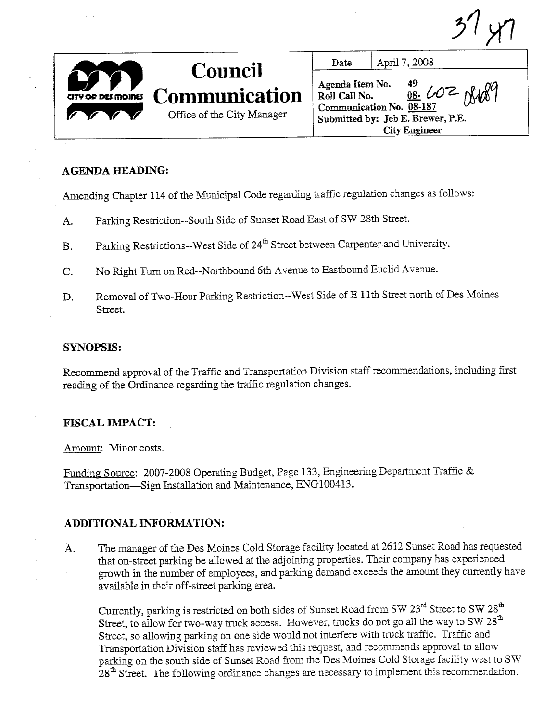$31 <sup>y</sup>$ Office of the City Manager Date | April 7, 2008 Agenda Item No.  $49$   $\sim$   $\sim$   $\alpha$ ,  $\alpha$ Roll Call No.  $08. 60 \leftarrow \text{N40}$ Communication No. 08-187 Submitted by: Jeb E. Brewer, P.E. City Engineer EI MOINES **OFFICIAL** .~ Council Communication

# AGENDA HEADING:

Amending Chapter 114 of the Municipal Code regarding trafic regulation changes as follows:

- A. Parking Restriction--South Side of Sunset Road East of SW 28th Street.
- B. Parking Restrictions--West Side of 24<sup>th</sup> Street between Carpenter and University.
- C. No Right Turn on Red--Northbound 6th Avenue to Eastbound Euclid Avenue.
- D. Removal of Two-Hour Parking Restriction--West Side of E 11th Street north of Des Moines Street.

#### SYNOPSIS:

Recommend approval of the Traffic and Transportation Division staff recommendations, including first reading of the Ordinance regarding the traffic regulation changes.

# **FISCAL IMPACT:**

Amount: Minor costs.

Funding Source: 2007-2008 Operating Budget, Page 133, Engineering Department Traffic & Transportation-Sign Instalation and Maintenance, ENGlO0413.

#### ADDITIONAL INFORMATION:

A. The manager of the Des Moines Cold Storage facility located at 2612 Sunset Road has requested that on-street parking be allowed at the adjoining properties. Their company has experienced growth in the number of employees, and parking demand exceeds the amount they currently have avaiable in their off-street parking area.

Currently, parking is restricted on both sides of Sunset Road from SW  $23<sup>rd</sup>$  Street to SW  $28<sup>th</sup>$ Street, to allow for two-way truck access. However, trucks do not go all the way to SW  $28<sup>th</sup>$ Street, so allowing parking on one side would not interfere with truck traffic. Traffic and Transportation Division staff has reviewed this request, and recommends approval to allow parking on the south side of Sunset Road from the Des Moines Cold Storage facility west to SW 28<sup>th</sup> Street. The following ordinance changes are necessary to implement this recommendation.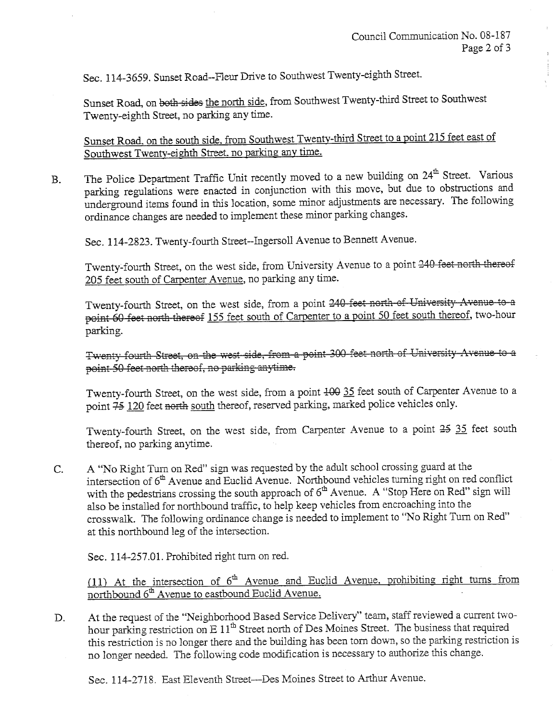Sec. 114-3659. Sunset Road--Fleur Drive to Southwest Twenty-eighth Street.

Sunset Road, on both sides the north side, from Southwest Twenty-third Street to Southwest Twenty-eighth Street, no parking any time.

Sunset Road, on the south side, from Southwest Twenty-third Street to a point 215 feet east of Southwest Twenty-eighth Street. no parking any time.

B. The Police Department Traffic Unit recently moved to a new building on 24<sup>th</sup> Street. Various parking regulations were enacted in conjunction with this move, but due to obstructions and underground items found in this location, some minor adjustments are necessary. The following ordinance changes are needed to implement these minor parking changes.

Sec. 114-2823. Twenty-fourth Street--Ingersoll Avenue to Bennett Avenue.

Twenty-fourth Street, on the west side, from University Avenue to a point 240 feet north thereof 205 feet south of Carpenter Avenue, no parking any time.

Twenty-fourth Street, on the west side, from a point 240 feet north of University Avenue to a point 60 feet north thereof 155 feet south of Carpenter to a point 50 feet south thereof, two-hour parking.

Twenty fourth Street, on the west side, from a point 300 feet north of University Avenue to a. point 50 feet north thereof, no parking anytime.

Twenty-fourth Street, on the west side, from a point  $100$  35 feet south of Carpenter Avenue to a point  $\frac{75}{120}$  feet north south thereof, reserved parking, marked police vehicles only.

Twenty-fourth Street, on the west side, from Carpenter Avenue to a point 25 35 feet south thereof, no parking anytime.

C. A "No Right Turn on Red" sign was requested by the adult school crossing guard at the intersection of 6<sup>th</sup> Avenue and Euclid Avenue. Northbound vehicles turning right on red conflict with the pedestrians crossing the south approach of  $6<sup>th</sup>$  Avenue. A "Stop Here on Red" sign will also be installed for nortbound trafic, to help keep vehicles from encroaching into the crosswalk. The following ordinance change is needed to implement to "No Right Turn on Red" at this nortbound leg of the intersection.

Sec. 114-257.01. Prohibited right turn on red.

(11) At the intersection of  $6<sup>th</sup>$  Avenue and Euclid Avenue, prohibiting right turns from northbound 6<sup>th</sup> Avenue to eastbound Euclid Avenue.

D. At the request of the "Neighborhood Based Service Delivery" team, staff reviewed a current twohour parking restriction on E 11<sup>th</sup> Street north of Des Moines Street. The business that required this restriction is no longer there and the building has been torn down, so the parking restriction is no longer needed. The following code modification is necessary to authorize this change.

Sec. 114-2718. East Eleventh Street--Des Moines Street to Arthur Avenue.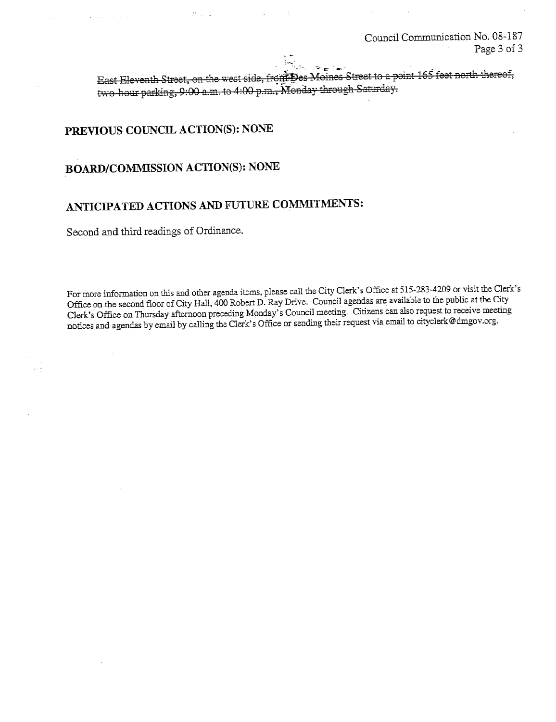Council Communication No. 08-187 Page 3 of 3

East Eleventh Street, on the west side, from Des Moines Street to a point 165 feet north thereof, two-hour parking, 9:00 a.m. to 4:00 p.m., Monday through Saturday.

# PREVIOUS COUNCIL ACTION(S): NONE

# **BOARD/COMMISSION ACTION(S): NONE**

# ANTICIPATED ACTIONS AND FUTURE COMMITMENTS:

Second and third readings of Ordinance.

For more information on this and other agenda items, please call the City Clerk's Office at 515-283-4209 or visit the Clerk's Office on the second floor of City Hall, 400 Robert D. Ray Drive. Council agendas are available to the public at the City Clerk's Office on Thursday afternoon preceding Monday's Council meeting. Citizens can also request to receive meeting notices and agendas by email by calling the Clerk's Office or sending their request via email to cityclerk@dmgov.org.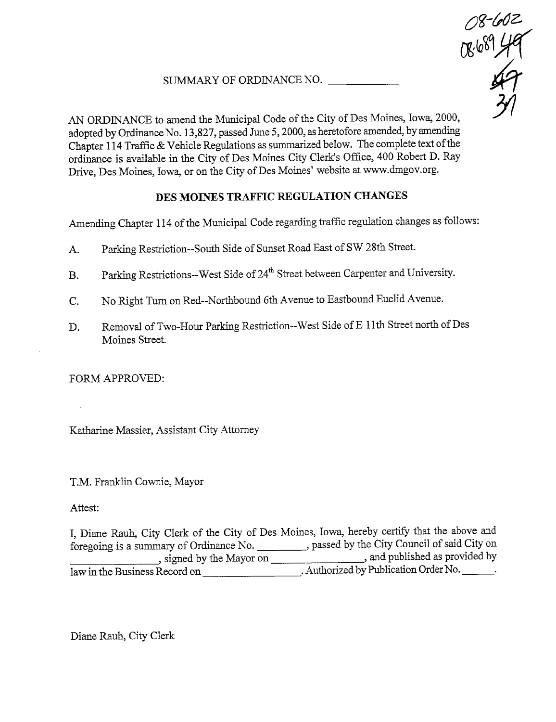# SUMMARY OF ORDINANCE NO.



AN ORDINANCE to amend the Municipal Code of the City of Des Moines, Iowa, 2000, adopted by Ordinance No. 13,827, passed June 5, 2000, as heretofore amended, by amending Chapter 114 Traffic & Vehicle Regulations as summarized below. The complete text of the ordinance is available in the City of Des Moines City Clerk's Office, 400 Robert D. Ray Drive, Des Moines, Iowa, or on the City of Des Moines' website at ww.dmgov.org.

# DES MOINES TRAFFIC REGULATION CHANGES

Amending Chapter 114 of the Municipal Code regarding traffic regulation changes as follows:

- A. Parking Restriction--South Side of Sunset Road East of SW 28th Street.
- B. Parking Restrictions--West Side of 24<sup>th</sup> Street between Carpenter and University.
- C. No Right Turn on Red--Northbound 6th Avenue to Eastbound Euclid Avenue.
- D. Removal of Two-Hour Parking Restriction--West Side of E 11th Street north of Des Moines Street.

FORM APPROVED:

Katharine Massier, Assistant City Attorney

T.M. Franklin Cownie, Mayor

# Attest:

I, Diane Rauh, City Clerk of the City of Des Moines, Iowa, hereby certify that the above and foregoing is a summary of Ordinance No. \_\_\_\_\_\_\_\_, passed by the City Council of said City on , signed by the Mayor on , and published as provided by law in the Business Record on \_\_\_\_\_\_\_\_\_\_\_\_\_\_\_\_\_\_\_\_\_\_. Authorized by Publication Order No.

Diane Rauh, City Clerk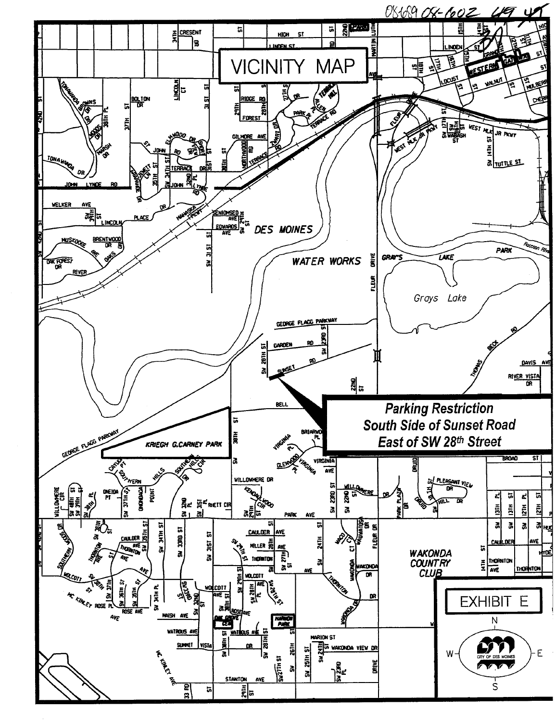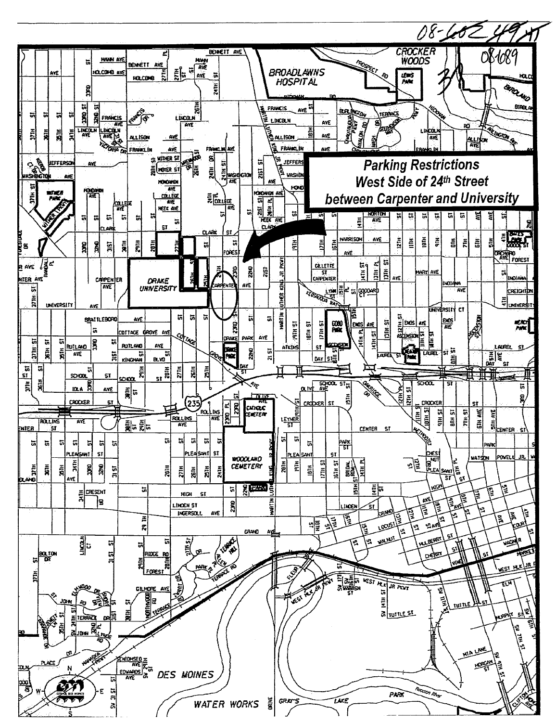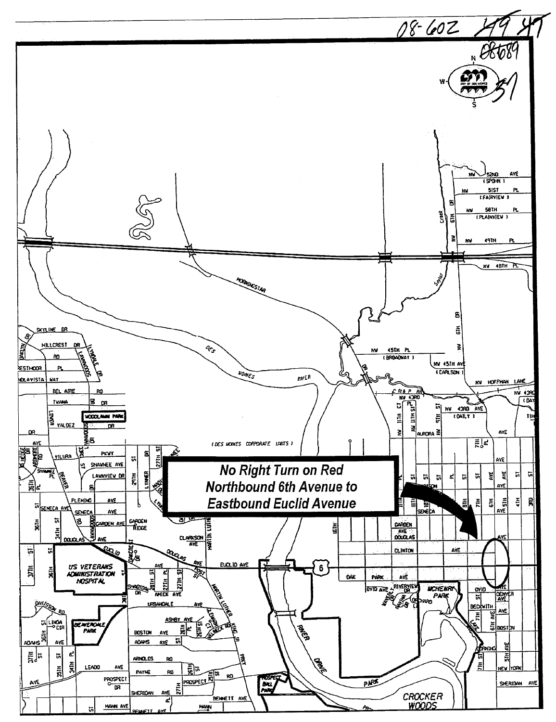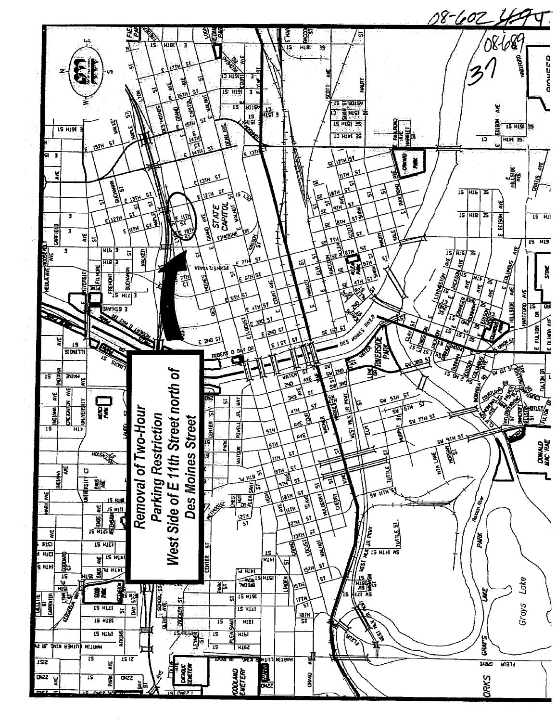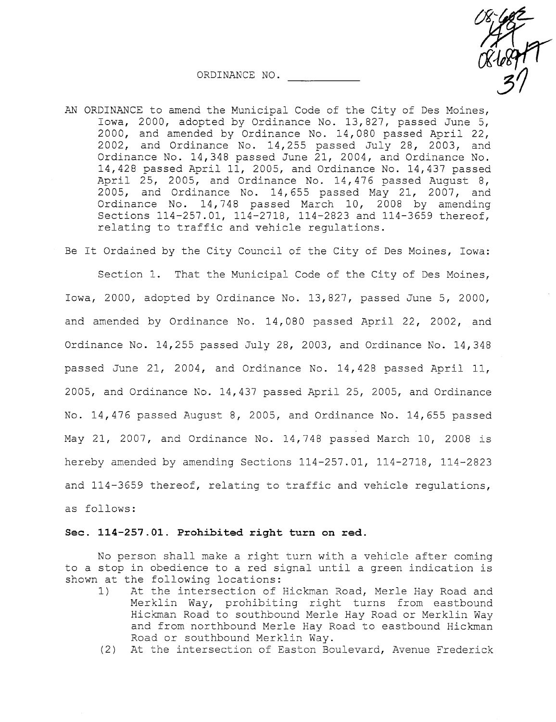- $08/1082$ <br> $08/10847$ 31 ORDINANCE NO.
- AN ORDINANCE to amend the Municipal Code of the City of Des Moines, Iowa, 2000, adopted by Ordinance No. 13,827, passed June 5, 2000, and amended by Ordinance No. 14,080 passed April 22, 2002, and Ordinance No. 14,255 passed July 28, 2003, and Ordinance No. 14,348 passed June 21, 2004, and Ordinance No. 14,428 passed April 11, 2005, and Ordinance No. 14,437 passed April 25, 2005, and Ordinance No. 14,476 passed August 8, 2005, and Ordinance No. 14,655 passed May 21, 2007, and Ordinance No. 14,748 passed March 10, 2008 by amending Sections 114-257.01, 114-2718, 114-2823 and 114-3659 thereof, relating to traffic and vehicle regulations.

Be It Ordained by the City Council of the City of Des Moines, Iowa:

Section 1. That the Municipal Code of the City of Des Moines, Iowa, 2000, adopted by Ordinance No. 13,827, passed June 5, 2000, and amended by Ordinance No. 14,080 passed April 22, 2002, and Ordinance No. 14,255 passed July 28, 2003, and Ordinance No. 14,348 passed June 21, 2004, and Ordinance No. 14,428 passed April 11, 2005, and Ordinance No. 14,437 passed April 25, 2005, and Ordinance No. 14,476 passed August 8, 2005, and Ordinance No. 14,655 passed May 21, 2007, and Ordinance No. 14,748 passed March 10, 2008 is hereby amended by amending Sections 114-257.01, 114-2718, 114-2823 and 114-3659 thereof, relating to traffic and vehicle regulations, as follows:

#### See. 114-257.01. Prohibited right turn on red.

No person shall make a right turn with a vehicle after coming to a stop in obedience to a red signal until a green indication is shown at the following locations:

- 1) At the intersection of Hickman Road, Merle Hay Road and Merklin Way, prohibiting right turns from eastbound Hickman Road to southbound Merle Hay Road or Merklin Way and from northbound Merle Hay Road to eastbound Hickman Road or southbound Merklin Way.
- (2) At the intersection of Easton Boulevard, Avenue Frederick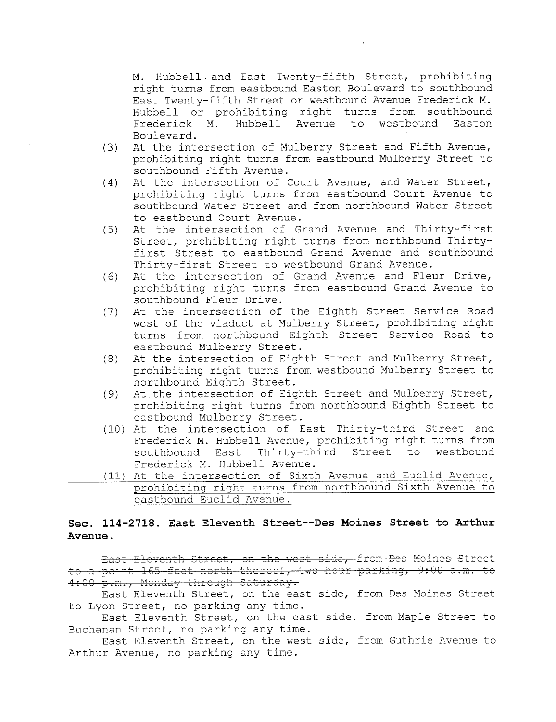M. Hubbell and East Twenty-fifth Street, prohibiting right turns from eastbound Easton Boulevard to southbound East Twenty-fifth Street or westbound Avenue Frederick M. Hubbell or prohibiting right turns from southbound<br>Frederick M. Hubbell Avenue to westbound Easton Hubbell Avenue to westbound Boulevard.

- (3) At the intersection of Mulberry Street and Fifth Avenue, prohibiting right turns from eastbound Mulberry Street to southbound Fifth Avenue.
- (4) At the intersection of Court Avenue, and Water Street, prohibiting right turns from eastbound Court Avenue to southbound Water Street and from northbound Water Street to eastbound Court Avenue.
- (5) At the intersection of Grand Avenue and Thirty-first Street, prohibiting right turns from northbound Thirtyfirst Street to eastbound Grand Avenue and southbound Thirty-first Street to westbound Grand Avenue.
- (6) At the intersection of Grand Avenue and Fleur Drive, prohibiting right turns from eastbound Grand Avenue to southbound Fleur Drive.
- (7) At the intersection of the Eighth Street Service Road west of the viaduct at Mulberry Street, prohibiting right turns from northbound Eighth Street Service Road to eastbound Mulberry Street.
- (8) At the intersection of Eighth Street and Mulberry Street, prohibiting right turns from westbound Mulberry Street to northbound Eighth Street.
- (9) At the intersection of Eighth Street and Mulberry Street, prohibiting right turns from northbound Eighth Street to eastbound Mulberry Street.
- (10) At the intersection of East Thirty-third Street and Frederick M. Hubbell Avenue, prohibiting right turns from southbound East Thirty-third Street to westbound Frederick M. Hubbell Avenue.
- (11) At the intersection of Sixth Avenue and Euclid Avenue, prohibiting right turns from northbound Sixth Avenue to eastbound Euclid Avenue.

### Sec. 114-2718. East Eleventh Street--Des Moines Street to Arthur Avenue.

to a point 165 feet north thereof, two hour parking, 9:00 a.m. to East-Eleventh Street, on the west side, from Des Moines Street 4:00 p.m., Menday through Saturday.

East Eleventh Street, on the east side, from Des Moines Street to Lyon Street, no parking any time.

East Eleventh Street, on the east side, from Maple Street to Buchanan Street, no parking any time.

East Eleventh Street, on the west side, from Guthrie Avenue to Arthur Avenue, no parking any time.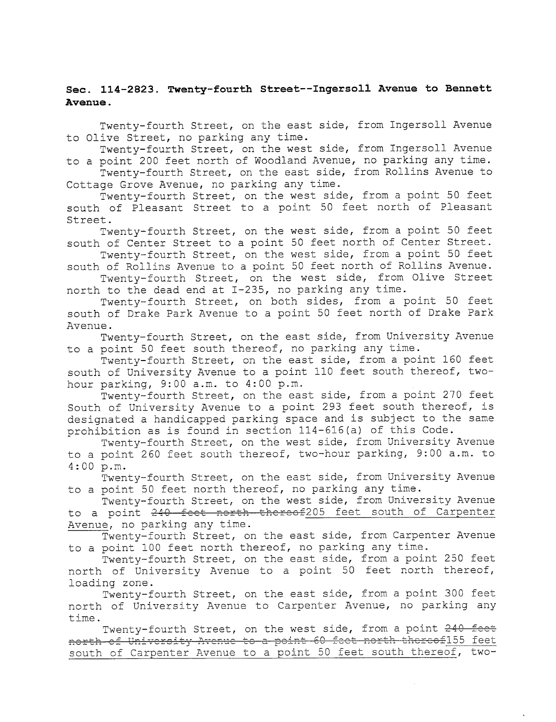### Sec. 114-2823. Twenty-fourth Street--Ingersoll Avenue to Bennett Avenue.

Twenty-fourth Street, on the east side, from Ingersoll Avenue to Olive Street, no parking any time.

Twenty-fourth Street, on the west side, from Ingersoll Avenue to a point 200 feet north of Woodland Avenue, no parking any time.

Twenty-fourth Street, on the east side, from Rollins Avenue to Cottage Grove Avenue, no parking any time.

Twenty-fourth Street, on the west side, from a point 50 feet south of Pleasant Street to a point 50 feet north of Pleasant Street.

Twenty-fourth Street, on the west side, from a point 50 feet south of Center Street to a point 50 feet north of Center Street.

Twenty-fourth Street, on the west side, from a point 50 feet south of Rollins Avenue to a point 50 feet north of Rollins Avenue.

Twenty-fourth Street, on the west side, from Olive Street north to the dead end at 1-235, no parking any time.

Twenty-fourth Street, on both sides, from a point 50 feet south of Drake Park Avenue to a point 50 feet north of Drake Park Avenue.

Twenty-fourth Street, on the east side, from University Avenue to a point 50 feet south thereof, no parking any time.

Twenty-fourth Street, on the east side, from a point 160 feet south of University Avenue to a point 110 feet south thereof, twohour parking, 9:00 a.m. to 4:00 p.m.

Twenty-fourth Street, on the east side, from a point 270 feet South of University Avenue to a point 293 feet south thereof, is designated a handicapped parking space and is subject to the same prohibition as is found in section 114-616 (a) of this Code.

Twenty-fourth Street, on the west side, from University Avenue to a point 260 feet south thereof, two-hour parking, 9:00 a.m. to 4:00 p.m.

Twenty-fourth Street, on the east side, from University Avenue to a point 50 feet north thereof, no parking any time.

Twenty-fourth Street, on the west side, from University Avenue to a point 240 feet north thereof205 feet south of Carpenter Avenue, no parking any time.

Twenty-fourth Street, on the east side, from Carpenter Avenue

to a point 100 feet north thereof, no parking any time.<br>Twenty-fourth Street, on the east side, from a point 250 feet north of University Avenue to a point 50 feet north thereof, loading zone.

Twenty-fourth Street, on the east side, from a point 300 feet north of University Avenue to Carpenter Avenue, no parking any time.

Twenty-fourth Street, on the west side, from a point 240 feet north of University Avenue to a point 60 feet north thereof155 feet south of Carpenter Avenue to a point 50 feet south thereof, two-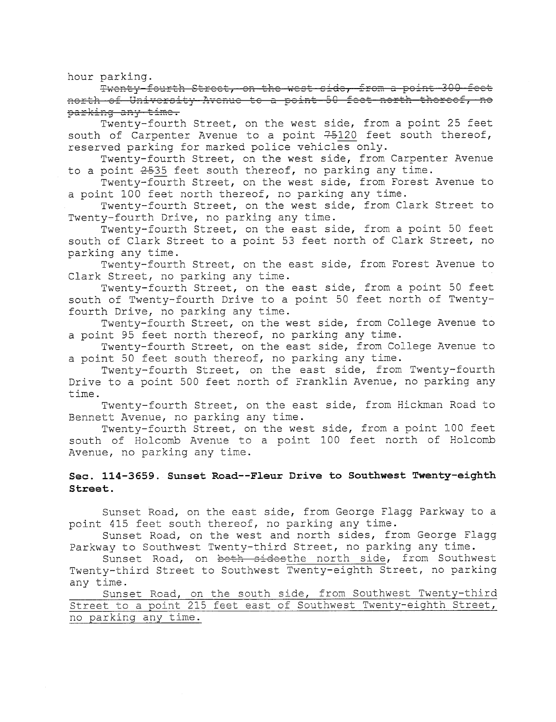hour parking.<br>Fwenty-fourth Street, on the west side, from a point 300 feet orth of University Avenue to a point 50 feet north thereof, parking any time.

Twenty-fourth Street, on the west side, from a point 25 feet south of Carpenter Avenue to a point  $75120$  feet south thereof, reserved parking for marked police vehicles only.

Twenty-fourth Street, on the west side, from Carpenter Avenue to a point  $2535$  feet south thereof, no parking any time.

Twenty-fourth Street, on the west side, from Forest Avenue to a point 100 feet north thereof, no parking any time.

Twenty-fourth Street, on the west side, from Clark Street to Twenty-fourth Drive, no parking any time.

Twenty-fourth Street, on the east side, from a point 50 feet south of Clark Street to a point 53 feet north of Clark Street, no parking any time.

Twenty-fourth Street, on the east side, from Forest Avenue to Clark Street, no parking any time.

Twenty-fourth Street, on the east side, from a point 50 feet south of Twenty-fourth Drive to a point 50 feet north of Twentyfourth Drive, no parking any time.

Twenty-fourth Street, on the west side, from College Avenue to a point 95 feet north thereof, no parking any time.

Twenty-fourth Street, on the east side, from College Avenue to a point 50 feet south thereof, no parking any time.

Twenty-fourth Street, on the east side, from Twenty-fourth Drive to a point 500 feet north of Franklin Avenue, no parking any time.

Twenty-fourth Street, on the east side, from Hickman Road to Bennett Avenue, no parking any time.

Twenty-fourth Street, on the west side, from a point 100 feet south of Holcomb Avenue to a point 100 feet north of Holcomb Avenue, no parking any time.

#### See. 114-3659. Sunset Road--Fieur Drive to Southwest Twenty-eighth Street.

Sunset Road, on the east side, from George Flagg Parkway to a point 415 feet south thereof, no parking any time.

Sunset Road, on the west and north sides, from George Flagg Parkway to Southwest Twenty-third Street, no parking any time.

Sunset Road, on both sidesthe north side, from Southwest Twenty-third Street to Southwest Twenty-eighth Street, no parking any time.

Sunset Road, on the south side, from Southwest Twenty-third Street to a point 215 feet east of Southwest Twenty-eighth Street, no parking any time.